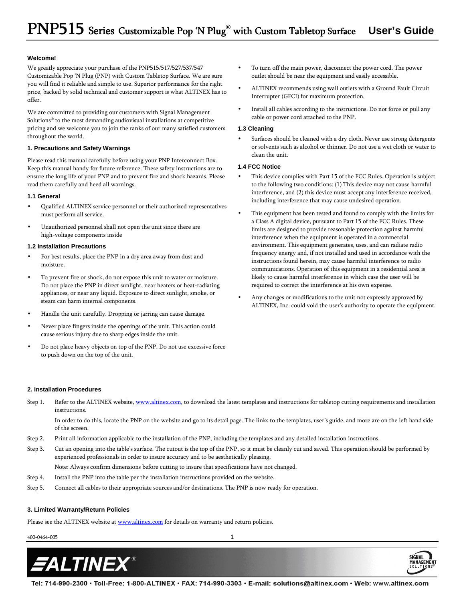#### **Welcome!**

We greatly appreciate your purchase of the PNP515/517/527/537/547 Customizable Pop 'N Plug (PNP) with Custom Tabletop Surface. We are sure you will find it reliable and simple to use. Superior performance for the right price, backed by solid technical and customer support is what ALTINEX has to offer.

We are committed to providing our customers with Signal Management Solutions® to the most demanding audiovisual installations at competitive pricing and we welcome you to join the ranks of our many satisfied customers throughout the world.

#### **1. Precautions and Safety Warnings**

Please read this manual carefully before using your PNP Interconnect Box. Keep this manual handy for future reference. These safety instructions are to ensure the long life of your PNP and to prevent fire and shock hazards. Please read them carefully and heed all warnings.

#### **1.1 General**

- Qualified ALTINEX service personnel or their authorized representatives must perform all service.
- Unauthorized personnel shall not open the unit since there are high-voltage components inside

#### **1.2 Installation Precautions**

- For best results, place the PNP in a dry area away from dust and moisture.
- To prevent fire or shock, do not expose this unit to water or moisture. Do not place the PNP in direct sunlight, near heaters or heat-radiating appliances, or near any liquid. Exposure to direct sunlight, smoke, or steam can harm internal components.
- Handle the unit carefully. Dropping or jarring can cause damage.
- Never place fingers inside the openings of the unit. This action could cause serious injury due to sharp edges inside the unit.
- Do not place heavy objects on top of the PNP. Do not use excessive force to push down on the top of the unit.
- To turn off the main power, disconnect the power cord. The power outlet should be near the equipment and easily accessible.
- ALTINEX recommends using wall outlets with a Ground Fault Circuit Interrupter (GFCI) for maximum protection.
- Install all cables according to the instructions. Do not force or pull any cable or power cord attached to the PNP.

### **1.3 Cleaning**

Surfaces should be cleaned with a dry cloth. Never use strong detergents or solvents such as alcohol or thinner. Do not use a wet cloth or water to clean the unit.

## **1.4 FCC Notice**

- This device complies with Part 15 of the FCC Rules. Operation is subject to the following two conditions: (1) This device may not cause harmful interference, and (2) this device must accept any interference received, including interference that may cause undesired operation.
- This equipment has been tested and found to comply with the limits for a Class A digital device, pursuant to Part 15 of the FCC Rules. These limits are designed to provide reasonable protection against harmful interference when the equipment is operated in a commercial environment. This equipment generates, uses, and can radiate radio frequency energy and, if not installed and used in accordance with the instructions found herein, may cause harmful interference to radio communications. Operation of this equipment in a residential area is likely to cause harmful interference in which case the user will be required to correct the interference at his own expense.
- Any changes or modifications to the unit not expressly approved by ALTINEX, Inc. could void the user's authority to operate the equipment.

SIGNAL

**MANAGEMENT** 

#### **2. Installation Procedures**

Step 1. Refer to the ALTINEX website, www.altinex.com, to download the latest templates and instructions for tabletop cutting requirements and installation instructions.

 In order to do this, locate the PNP on the website and go to its detail page. The links to the templates, user's guide, and more are on the left hand side of the screen.

- Step 2. Print all information applicable to the installation of the PNP, including the templates and any detailed installation instructions.
- Step 3. Cut an opening into the table's surface. The cutout is the top of the PNP, so it must be cleanly cut and saved. This operation should be performed by experienced professionals in order to insure accuracy and to be aesthetically pleasing.

Note: Always confirm dimensions before cutting to insure that specifications have not changed.

- Step 4. Install the PNP into the table per the installation instructions provided on the website.
- Step 5. Connect all cables to their appropriate sources and/or destinations. The PNP is now ready for operation.

# **3. Limited Warranty/Return Policies**

Please see the ALTINEX website at www.altinex.com for details on warranty and return policies.



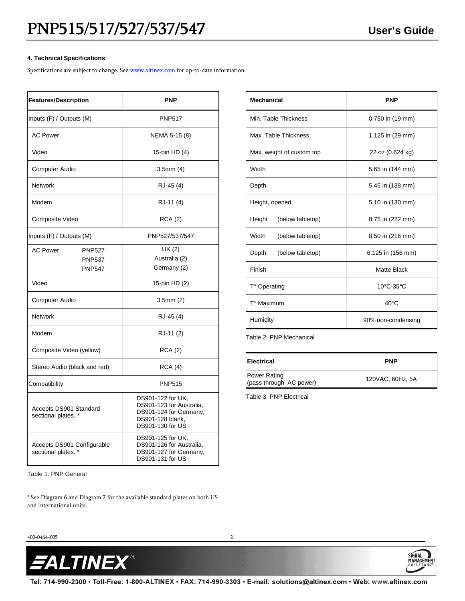## **4. Technical Specifications**

Specifications are subject to change. See **www.altinex.com** for up-to-date information.

| <b>Features/Description</b>                                        | <b>PNP</b>                                                                                                      |
|--------------------------------------------------------------------|-----------------------------------------------------------------------------------------------------------------|
| Inputs (F) / Outputs (M)                                           | <b>PNP517</b>                                                                                                   |
| <b>AC Power</b>                                                    | NEMA 5-15 (8)                                                                                                   |
| Video                                                              | 15-pin HD (4)                                                                                                   |
| <b>Computer Audio</b>                                              | 3.5mm(4)                                                                                                        |
| <b>Network</b>                                                     | RJ-45 (4)                                                                                                       |
| Modem                                                              | RJ-11 (4)                                                                                                       |
| Composite Video                                                    | <b>RCA</b> (2)                                                                                                  |
| Inputs (F) / Outputs (M)                                           | PNP527/537/547                                                                                                  |
| <b>AC Power</b><br><b>PNP527</b><br><b>PNP537</b><br><b>PNP547</b> | UK (2)<br>Australia (2)<br>Germany (2)                                                                          |
| Video                                                              | 15-pin HD (2)                                                                                                   |
| Computer Audio                                                     | 3.5mm(2)                                                                                                        |
| <b>Network</b>                                                     | RJ-45 (4)                                                                                                       |
| Modem                                                              | RJ-11 (2)                                                                                                       |
| Composite Video (yellow)                                           | <b>RCA (2)</b>                                                                                                  |
| Stereo Audio (black and red)                                       | RCA(4)                                                                                                          |
| Compatibility                                                      | <b>PNP515</b>                                                                                                   |
| Accepts DS901 Standard<br>sectional plates. *                      | DS901-122 for UK,<br>DS901-123 for Australia,<br>DS901-124 for Germany,<br>DS901-128 blank,<br>DS901-130 for US |
| Accepts DS901 Configurable<br>sectional plates. *                  | DS901-125 for UK,<br>DS901-126 for Australia,<br>DS901-127 for Germany,<br>DS901-131 for US                     |

Table 1. PNP General

\* See Diagram 6 and Diagram 7 for the available standard plates on both US and international units.

| <b>Mechanical</b>          | <b>PNP</b>         |
|----------------------------|--------------------|
| Min. Table Thickness       | 0.750 in (19 mm)   |
| Max. Table Thickness       | 1.125 in (29 mm)   |
| Max. weight of custom top  | 22 oz (0.624 kg)   |
| Width                      | 5.65 in (144 mm)   |
| Depth                      | 5.45 in (138 mm)   |
| Height, opened             | 5.10 in (130 mm)   |
| Height<br>(below tabletop) | 8.75 in (222 mm)   |
| Width<br>(below tabletop)  | 8.50 in (216 mm)   |
| Depth<br>(below tabletop)  | 6.125 in (156 mm)  |
| Finish                     | <b>Matte Black</b> |
| T° Operating               | 10°C-35°C          |
| $T^{\circ}$ Maximum        | $40^{\circ}$ C     |
| Humidity                   | 90% non-condensing |

Table 2. PNP Mechanical

| <b>Electrical</b>                              | <b>PNP</b>       |
|------------------------------------------------|------------------|
| <b>Power Rating</b><br>(pass through AC power) | 120VAC, 60Hz, 5A |

**SIGNAL** 

MANAGEMEN

Table 3. PNP Electrical

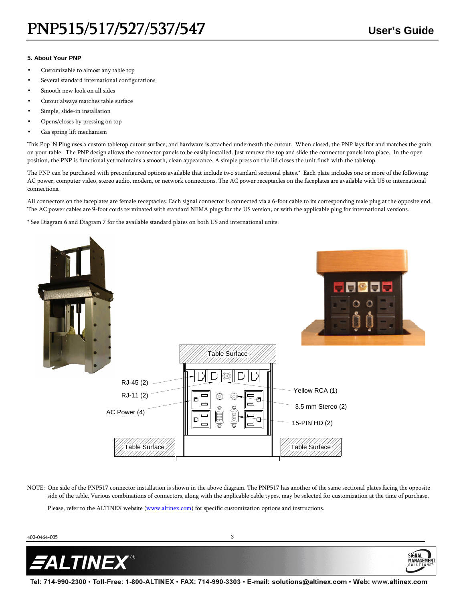SiGNAL

MANAG

## **5. About Your PNP**

- Customizable to almost any table top
- Several standard international configurations
- Smooth new look on all sides
- Cutout always matches table surface
- Simple, slide-in installation
- Opens/closes by pressing on top
- Gas spring lift mechanism

This Pop 'N Plug uses a custom tabletop cutout surface, and hardware is attached underneath the cutout. When closed, the PNP lays flat and matches the grain on your table. The PNP design allows the connector panels to be easily installed. Just remove the top and slide the connector panels into place. In the open position, the PNP is functional yet maintains a smooth, clean appearance. A simple press on the lid closes the unit flush with the tabletop.

The PNP can be purchased with preconfigured options available that include two standard sectional plates.\* Each plate includes one or more of the following: AC power, computer video, stereo audio, modem, or network connections. The AC power receptacles on the faceplates are available with US or international connections.

All connectors on the faceplates are female receptacles. Each signal connector is connected via a 6-foot cable to its corresponding male plug at the opposite end. The AC power cables are 9-foot cords terminated with standard NEMA plugs for the US version, or with the applicable plug for international versions..

\* See Diagram 6 and Diagram 7 for the available standard plates on both US and international units.



NOTE: One side of the PNP517 connector installation is shown in the above diagram. The PNP517 has another of the same sectional plates facing the opposite side of the table. Various combinations of connectors, along with the applicable cable types, may be selected for customization at the time of purchase.

Please, refer to the ALTINEX website (www.altinex.com) for specific customization options and instructions.

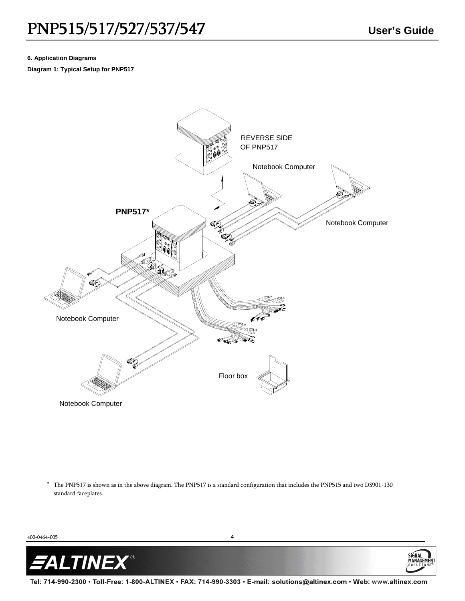MANAGEI

# **6. Application Diagrams**

**Diagram 1: Typical Setup for PNP517** 



\* The PNP517 is shown as in the above diagram. The PNP517 is a standard configuration that includes the PNP515 and two DS901-130 standard faceplates.

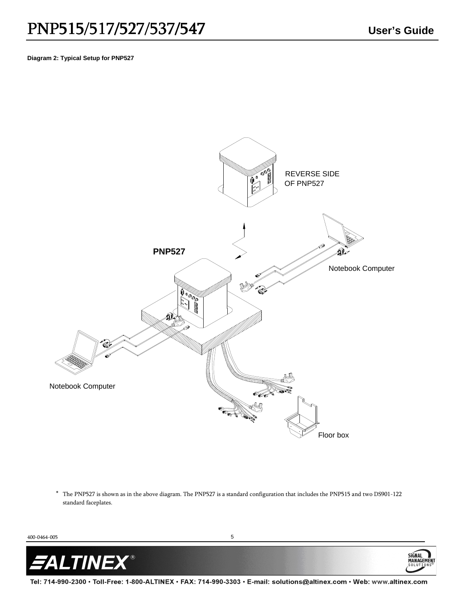## **Diagram 2: Typical Setup for PNP527**



\* The PNP527 is shown as in the above diagram. The PNP527 is a standard configuration that includes the PNP515 and two DS901-122 standard faceplates.



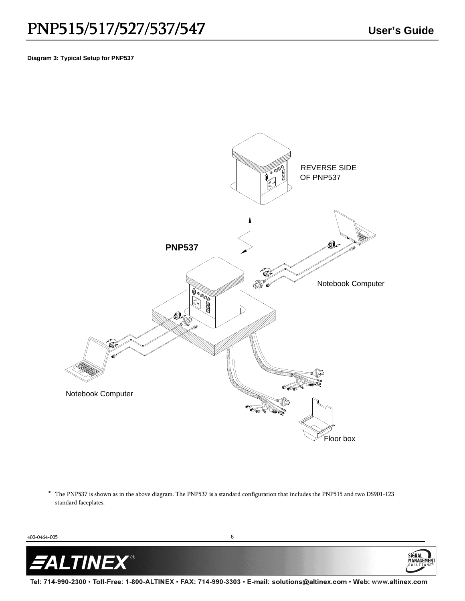**Diagram 3: Typical Setup for PNP537** 



\* The PNP537 is shown as in the above diagram. The PNP537 is a standard configuration that includes the PNP515 and two DS901-123 standard faceplates.

400-0464-005 6



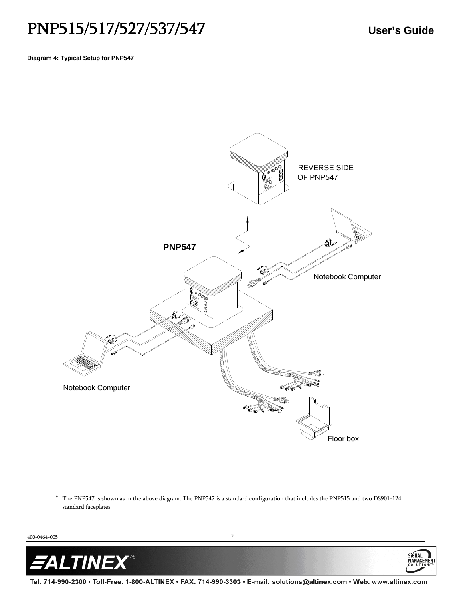MANAGEM

## **Diagram 4: Typical Setup for PNP547**



\* The PNP547 is shown as in the above diagram. The PNP547 is a standard configuration that includes the PNP515 and two DS901-124 standard faceplates.

400-0464-005 7

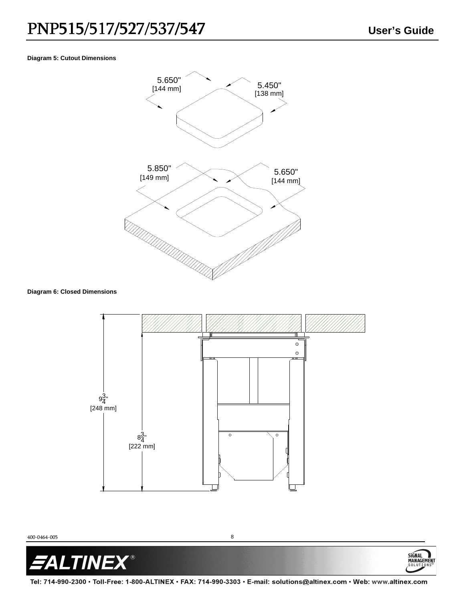MANAGEME 3 O L U '

# **Diagram 5: Cutout Dimensions**



# **Diagram 6: Closed Dimensions**



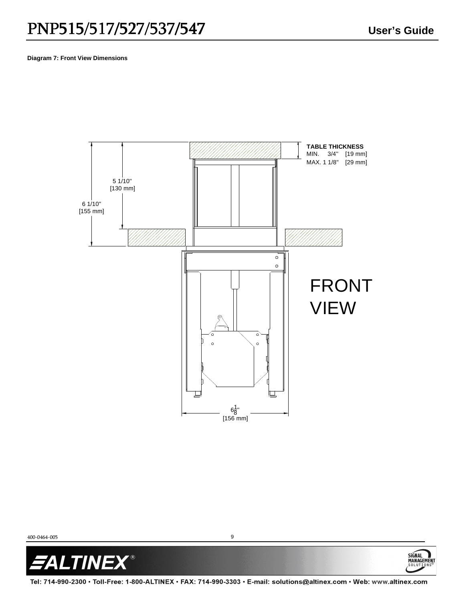SIGNAL<sup>1</sup>

MANAGEMENT

## **Diagram 7: Front View Dimensions**



400-0464-005 9

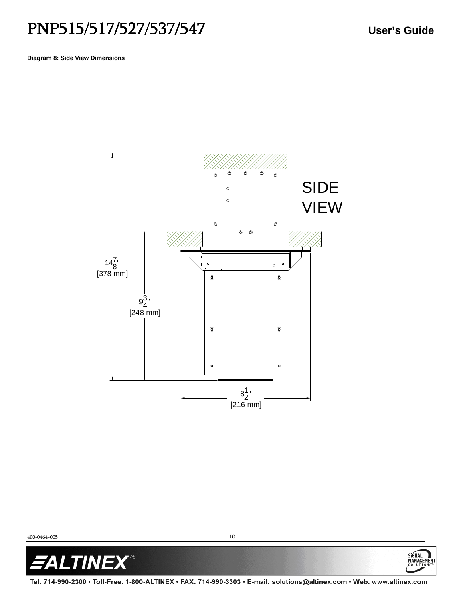SIGNAL<br>MANAGEMEN

## **Diagram 8: Side View Dimensions**



400-0464-005 10

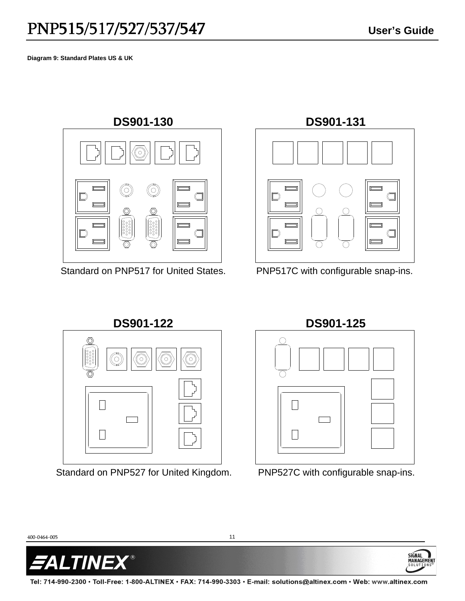**Diagram 9: Standard Plates US & UK** 



Standard on PNP517 for United States.



PNP517C with configurable snap-ins.



Standard on PNP527 for United Kingdom.

**DS901-125**



PNP527C with configurable snap-ins.

SIGNAL

MANAG

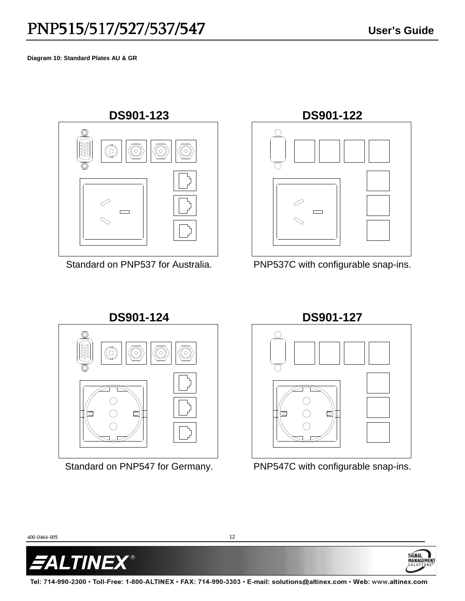**Diagram 10: Standard Plates AU & GR** 



Standard on PNP537 for Australia.



PNP537C with configurable snap-ins.



Standard on PNP547 for Germany.

**DS901-127**



PNP547C with configurable snap-ins.

**SiGNAL** 

MANA